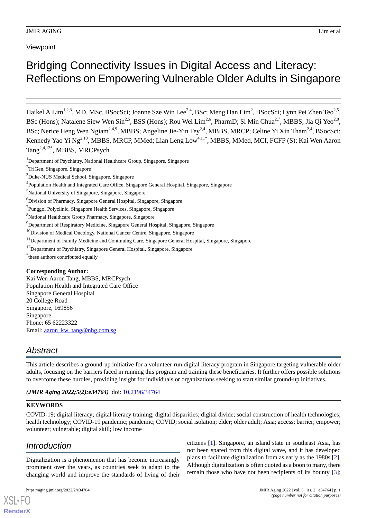**Viewpoint** 

# Bridging Connectivity Issues in Digital Access and Literacy: Reflections on Empowering Vulnerable Older Adults in Singapore

Haikel A Lim<sup>1,2,3</sup>, MD, MSc, BSocSci; Joanne Sze Win Lee<sup>2,4</sup>, BSc; Meng Han Lim<sup>2</sup>, BSocSci; Lynn Pei Zhen Teo<sup>2,5</sup>, BSc (Hons); Natalene Siew Wen Sin<sup>2,5</sup>, BSS (Hons); Rou Wei Lim<sup>2,6</sup>, PharmD; Si Min Chua<sup>2,7</sup>, MBBS; Jia Qi Yeo<sup>2,8</sup>, BSc; Nerice Heng Wen Ngiam<sup>2,4,9</sup>, MBBS; Angeline Jie-Yin Tey<sup>2,4</sup>, MBBS, MRCP; Celine Yi Xin Tham<sup>2,4</sup>, BSocSci; Kennedy Yao Yi Ng<sup>2,10</sup>, MBBS, MRCP, MMed; Lian Leng Low<sup>4,11\*</sup>, MBBS, MMed, MCI, FCFP (S); Kai Wen Aaron Tang<sup>2,4,12\*</sup>, MBBS, MRCPsych

<sup>1</sup>Department of Psychiatry, National Healthcare Group, Singapore, Singapore

- <sup>11</sup>Department of Family Medicine and Continuing Care, Singapore General Hospital, Singapore, Singapore
- <sup>12</sup>Department of Psychiatry, Singapore General Hospital, Singapore, Singapore

\* these authors contributed equally

#### **Corresponding Author:**

Kai Wen Aaron Tang, MBBS, MRCPsych Population Health and Integrated Care Office Singapore General Hospital 20 College Road Singapore, 169856 Singapore Phone: 65 62223322 Email: [aaron\\_kw\\_tang@nhg.com.sg](mailto:aaron_kw_tang@nhg.com.sg)

# *Abstract*

This article describes a ground-up initiative for a volunteer-run digital literacy program in Singapore targeting vulnerable older adults, focusing on the barriers faced in running this program and training these beneficiaries. It further offers possible solutions to overcome these hurdles, providing insight for individuals or organizations seeking to start similar ground-up initiatives.

*(JMIR Aging 2022;5(2):e34764)* doi:  $10.2196/34764$ 

# **KEYWORDS**

COVID-19; digital literacy; digital literacy training; digital disparities; digital divide; social construction of health technologies; health technology; COVID-19 pandemic; pandemic; COVID; social isolation; elder; older adult; Asia; access; barrier; empower; volunteer; vulnerable; digital skill; low income

# *Introduction*

[XSL](http://www.w3.org/Style/XSL)•FO **[RenderX](http://www.renderx.com/)**

Digitalization is a phenomenon that has become increasingly prominent over the years, as countries seek to adapt to the changing world and improve the standards of living of their

citizens [[1\]](#page-5-0). Singapore, an island state in southeast Asia, has not been spared from this digital wave, and it has developed plans to facilitate digitalization from as early as the 1980s [[2\]](#page-5-1). Although digitalization is often quoted as a boon to many, there remain those who have not been recipients of its bounty [[3\]](#page-5-2);

<sup>2</sup>TriGen, Singapore, Singapore

<sup>3</sup>Duke-NUS Medical School, Singapore, Singapore

<sup>&</sup>lt;sup>4</sup>Population Health and Integrated Care Office, Singapore General Hospital, Singapore, Singapore

<sup>5</sup>National University of Singapore, Singapore, Singapore

<sup>6</sup>Division of Pharmacy, Singapore General Hospital, Singapore, Singapore

<sup>&</sup>lt;sup>7</sup>Punggol Polyclinic, Singapore Health Services, Singapore, Singapore

<sup>8</sup>National Healthcare Group Pharmacy, Singapore, Singapore

<sup>&</sup>lt;sup>9</sup>Department of Respiratory Medicine, Singapore General Hospital, Singapore, Singapore

<sup>&</sup>lt;sup>10</sup>Division of Medical Oncology, National Cancer Centre, Singapore, Singapore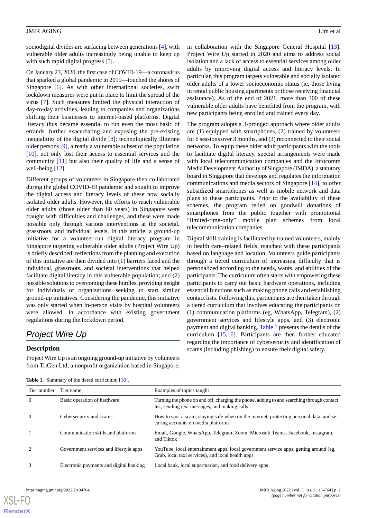sociodigital divides are surfacing between generations [\[4](#page-5-3)], with vulnerable older adults increasingly being unable to keep up with such rapid digital progress [\[5](#page-5-4)].

On January 23, 2020, the first case of COVID-19—a coronavirus that sparked a global pandemic in 2019—touched the shores of Singapore [[6\]](#page-5-5). As with other international societies, swift lockdown measures were put in place to limit the spread of the virus [[7\]](#page-5-6). Such measures limited the physical interaction of day-to-day activities, leading to companies and organizations shifting their businesses to internet-based platforms. Digital literacy thus became essential to run even the most basic of errands, further exacerbating and exposing the pre-existing inequalities of the digital divide [\[8](#page-5-7)]; technologically illiterate older persons [\[9](#page-5-8)], already a vulnerable subset of the population [[10\]](#page-5-9), not only lost their access to essential services and the community [\[11](#page-5-10)] but also their quality of life and a sense of well-being [\[12](#page-5-11)].

Different groups of volunteers in Singapore then collaborated during the global COVID-19 pandemic and sought to improve the digital access and literacy levels of these now socially isolated older adults. However, the efforts to reach vulnerable older adults (those older than 60 years) in Singapore were fraught with difficulties and challenges, and these were made possible only through various interventions at the societal, grassroots, and individual levels. In this article, a ground-up initiative for a volunteer-run digital literacy program in Singapore targeting vulnerable older adults (Project Wire Up) is briefly described; reflections from the planning and execution of this initiative are then divided into (1) barriers faced and the individual, grassroots, and societal interventions that helped facilitate digital literacy in this vulnerable population; and (2) possible solutions to overcoming these hurdles, providing insight for individuals or organizations seeking to start similar ground-up initiatives. Considering the pandemic, this initiative was only started when in-person visits by hospital volunteers were allowed, in accordance with existing government regulations during the lockdown period.

# *Project Wire Up*

# <span id="page-1-0"></span>**Description**

Project Wire Up is an ongoing ground-up initiative by volunteers from TriGen Ltd, a nonprofit organization based in Singapore,

in collaboration with the Singapore General Hospital [[13\]](#page-6-0). Project Wire Up started in 2020 and aims to address social isolation and a lack of access to essential services among older adults by improving digital access and literacy levels. In particular, this program targets vulnerable and socially isolated older adults of a lower socioeconomic status (ie, those living in rental public housing apartments or those receiving financial assistance). As of the end of 2021, more than 300 of these vulnerable older adults have benefited from the program, with new participants being enrolled and trained every day.

The program adopts a 3-pronged approach where older adults are (1) equipped with smartphones, (2) trained by volunteers for 6 sessions over 3 months, and (3) reconnected to their social networks. To equip these older adult participants with the tools to facilitate digital literacy, special arrangements were made with local telecommunication companies and the Infocomm Media Development Authority of Singapore (IMDA), a statutory board in Singapore that develops and regulates the information communications and media sectors of Singapore [[14\]](#page-6-1), to offer subsidized smartphones as well as mobile network and data plans to these participants. Prior to the availability of these schemes, the program relied on goodwill donations of smartphones from the public together with promotional "limited-time-only" mobile plan schemes from local telecommunication companies.

Digital skill training is facilitated by trained volunteers, mainly in health care–related fields, matched with these participants based on language and location. Volunteers guide participants through a tiered curriculum of increasing difficulty that is personalized according to the needs, wants, and abilities of the participants. The curriculum often starts with empowering these participants to carry out basic hardware operations, including essential functions such as making phone calls and establishing contact lists. Following this, participants are then taken through a tiered curriculum that involves educating the participants on (1) communication platforms (eg, WhatsApp, Telegram), (2) government services and lifestyle apps, and (3) electronic payment and digital banking. [Table 1](#page-1-0) presents the details of the curriculum [[15,](#page-6-2)[16](#page-6-3)]. Participants are then further educated regarding the importance of cybersecurity and identification of scams (including phishing) to ensure their digital safety.

|  |  |  | <b>Table 1.</b> Summary of the tiered curriculum [16]. |  |
|--|--|--|--------------------------------------------------------|--|
|--|--|--|--------------------------------------------------------|--|

| Tier number | Tier name                               | Examples of topics taught                                                                                                                  |
|-------------|-----------------------------------------|--------------------------------------------------------------------------------------------------------------------------------------------|
| $\theta$    | Basic operation of hardware             | Turning the phone on and off, charging the phone, adding to and searching through contact<br>list, sending text messages, and making calls |
| $\theta$    | Cybersecurity and scams                 | How to spot a scam, staying safe when on the internet, protecting personal data, and se-<br>curing accounts on media platforms             |
| 1           | Communication skills and platforms      | Email, Google, WhatsApp, Telegram, Zoom, Microsoft Teams, Facebook, Instagram,<br>and Tiktok                                               |
| 2           | Government services and lifestyle apps  | YouTube, local entertainment apps, local government service apps, getting around (eg,<br>Grab, local taxi services), and local health apps |
| 3           | Electronic payments and digital banking | Local bank, local supermarket, and food delivery apps                                                                                      |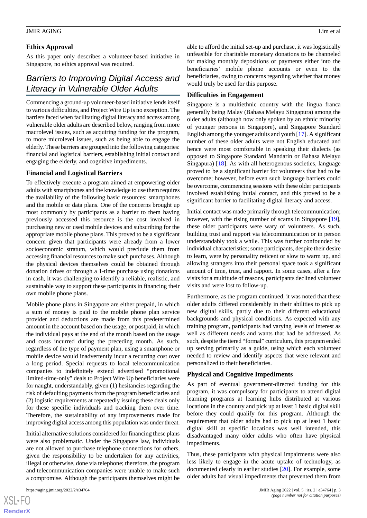### **Ethics Approval**

As this paper only describes a volunteer-based initiative in Singapore, no ethics approval was required.

# *Barriers to Improving Digital Access and Literacy in Vulnerable Older Adults*

Commencing a ground-up volunteer-based initiative lends itself to various difficulties, and Project Wire Up is no exception. The barriers faced when facilitating digital literacy and access among vulnerable older adults are described below, ranging from more macrolevel issues, such as acquiring funding for the program, to more microlevel issues, such as being able to engage the elderly. These barriers are grouped into the following categories: financial and logistical barriers, establishing initial contact and engaging the elderly, and cognitive impediments.

### **Financial and Logistical Barriers**

To effectively execute a program aimed at empowering older adults with smartphones and the knowledge to use them requires the availability of the following basic resources: smartphones and the mobile or data plans. One of the concerns brought up most commonly by participants as a barrier to them having previously accessed this resource is the cost involved in purchasing new or used mobile devices and subscribing for the appropriate mobile phone plans. This proved to be a significant concern given that participants were already from a lower socioeconomic stratum, which would preclude them from accessing financial resources to make such purchases. Although the physical devices themselves could be obtained through donation drives or through a 1-time purchase using donations in cash, it was challenging to identify a reliable, realistic, and sustainable way to support these participants in financing their own mobile phone plans.

Mobile phone plans in Singapore are either prepaid, in which a sum of money is paid to the mobile phone plan service provider and deductions are made from this predetermined amount in the account based on the usage, or postpaid, in which the individual pays at the end of the month based on the usage and costs incurred during the preceding month. As such, regardless of the type of payment plan, using a smartphone or mobile device would inadvertently incur a recurring cost over a long period. Special requests to local telecommunication companies to indefinitely extend advertised "promotional limited-time-only" deals to Project Wire Up beneficiaries were for naught, understandably, given (1) hesitancies regarding the risk of defaulting payments from the program beneficiaries and (2) logistic requirements at repeatedly issuing these deals only for these specific individuals and tracking them over time. Therefore, the sustainability of any improvements made for improving digital access among this population was under threat.

Initial alternative solutions considered for financing these plans were also problematic. Under the Singapore law, individuals are not allowed to purchase telephone connections for others, given the responsibility to be undertaken for any activities, illegal or otherwise, done via telephone; therefore, the program and telecommunication companies were unable to make such a compromise. Although the participants themselves might be

able to afford the initial set-up and purchase, it was logistically unfeasible for charitable monetary donations to be channeled for making monthly depositions or payments either into the beneficiaries' mobile phone accounts or even to the beneficiaries, owing to concerns regarding whether that money would truly be used for this purpose.

#### **Difficulties in Engagement**

Singapore is a multiethnic country with the lingua franca generally being Malay (Bahasa Melayu Singapura) among the older adults (although now only spoken by an ethnic minority of younger persons in Singapore), and Singapore Standard English among the younger adults and youth [[17\]](#page-6-4). A significant number of these older adults were not English educated and hence were most comfortable in speaking their dialects (as opposed to Singapore Standard Mandarin or Bahasa Melayu Singapura) [[18\]](#page-6-5). As with all heterogenous societies, language proved to be a significant barrier for volunteers that had to be overcome; however, before even such language barriers could be overcome, commencing sessions with these older participants involved establishing initial contact, and this proved to be a significant barrier to facilitating digital literacy and access.

Initial contact was made primarily through telecommunication; however, with the rising number of scams in Singapore [[19\]](#page-6-6), these older participants were wary of volunteers. As such, building trust and rapport via telecommunication or in person understandably took a while. This was further confounded by individual characteristics; some participants, despite their desire to learn, were by personality reticent or slow to warm up, and allowing strangers into their personal space took a significant amount of time, trust, and rapport. In some cases, after a few visits for a multitude of reasons, participants declined volunteer visits and were lost to follow-up.

Furthermore, as the program continued, it was noted that these older adults differed considerably in their abilities to pick up new digital skills, partly due to their different educational backgrounds and physical conditions. As expected with any training program, participants had varying levels of interest as well as different needs and wants that had be addressed. As such, despite the tiered "formal" curriculum, this program ended up serving primarily as a guide, using which each volunteer needed to review and identify aspects that were relevant and personalized to their beneficiaries.

#### **Physical and Cognitive Impediments**

As part of eventual government-directed funding for this program, it was compulsory for participants to attend digital learning programs at learning hubs distributed at various locations in the country and pick up at least 1 basic digital skill before they could qualify for this program. Although the requirement that older adults had to pick up at least 1 basic digital skill at specific locations was well intended, this disadvantaged many older adults who often have physical impediments.

Thus, these participants with physical impairments were also less likely to engage in the acute uptake of technology, as documented clearly in earlier studies [[20\]](#page-6-7). For example, some older adults had visual impediments that prevented them from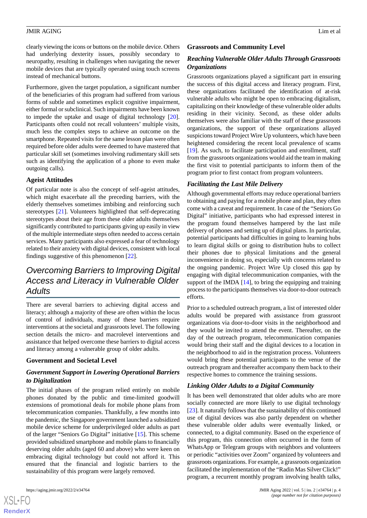clearly viewing the icons or buttons on the mobile device. Others had underlying dexterity issues, possibly secondary to neuropathy, resulting in challenges when navigating the newer mobile devices that are typically operated using touch screens instead of mechanical buttons.

Furthermore, given the target population, a significant number of the beneficiaries of this program had suffered from various forms of subtle and sometimes explicit cognitive impairment, either formal or subclinical. Such impairments have been known to impede the uptake and usage of digital technology [[20\]](#page-6-7). Participants often could not recall volunteers' multiple visits, much less the complex steps to achieve an outcome on the smartphone. Repeated visits for the same lesson plan were often required before older adults were deemed to have mastered that particular skill set (sometimes involving rudimentary skill sets such as identifying the application of a phone to even make outgoing calls).

#### **Ageist Attitudes**

Of particular note is also the concept of self-ageist attitudes, which might exacerbate all the preceding barriers, with the elderly themselves sometimes imbibing and reinforcing such stereotypes [\[21](#page-6-8)]. Volunteers highlighted that self-deprecating stereotypes about their age from these older adults themselves significantly contributed to participants giving up easily in view of the multiple intermediate steps often needed to access certain services. Many participants also expressed a fear of technology related to their anxiety with digital devices, consistent with local findings suggestive of this phenomenon [\[22](#page-6-9)].

# *Overcoming Barriers to Improving Digital Access and Literacy in Vulnerable Older Adults*

There are several barriers to achieving digital access and literacy; although a majority of these are often within the locus of control of individuals, many of these barriers require interventions at the societal and grassroots level. The following section details the micro- and macrolevel interventions and assistance that helped overcome these barriers to digital access and literacy among a vulnerable group of older adults.

# **Government and Societal Level**

# *Government Support in Lowering Operational Barriers to Digitalization*

The initial phases of the program relied entirely on mobile phones donated by the public and time-limited goodwill extensions of promotional deals for mobile phone plans from telecommunication companies. Thankfully, a few months into the pandemic, the Singapore government launched a subsidized mobile device scheme for underprivileged older adults as part of the larger "Seniors Go Digital" initiative [[15\]](#page-6-2). This scheme provided subsidized smartphone and mobile plans to financially deserving older adults (aged 60 and above) who were keen on embracing digital technology but could not afford it. This ensured that the financial and logistic barriers to the sustainability of this program were largely removed.

#### **Grassroots and Community Level**

# *Reaching Vulnerable Older Adults Through Grassroots Organizations*

Grassroots organizations played a significant part in ensuring the success of this digital access and literacy program. First, these organizations facilitated the identification of at-risk vulnerable adults who might be open to embracing digitalism, capitalizing on their knowledge of these vulnerable older adults residing in their vicinity. Second, as these older adults themselves were also familiar with the staff of these grassroots organizations, the support of these organizations allayed suspicions toward Project Wire Up volunteers, which have been heightened considering the recent local prevalence of scams [[19\]](#page-6-6). As such, to facilitate participation and enrollment, staff from the grassroots organizations would aid the team in making the first visit to potential participants to inform them of the program prior to first contact from program volunteers.

### *Facilitating the Last Mile Delivery*

Although governmental efforts may reduce operational barriers to obtaining and paying for a mobile phone and plan, they often come with a caveat and requirement. In case of the "Seniors Go Digital" initiative, participants who had expressed interest in the program found themselves hampered by the last mile delivery of phones and setting up of digital plans. In particular, potential participants had difficulties in going to learning hubs to learn digital skills or going to distribution hubs to collect their phones due to physical limitations and the general inconvenience in doing so, especially with concerns related to the ongoing pandemic. Project Wire Up closed this gap by engaging with digital telecommunication companies, with the support of the IMDA  $[14]$  $[14]$ , to bring the equipping and training process to the participants themselves via door-to-door outreach efforts.

Prior to a scheduled outreach program, a list of interested older adults would be prepared with assistance from grassroot organizations via door-to-door visits in the neighborhood and they would be invited to attend the event. Thereafter, on the day of the outreach program, telecommunication companies would bring their staff and the digital devices to a location in the neighborhood to aid in the registration process. Volunteers would bring these potential participants to the venue of the outreach program and thereafter accompany them back to their respective homes to commence the training sessions.

## *Linking Older Adults to a Digital Community*

It has been well demonstrated that older adults who are more socially connected are more likely to use digital technology [[23\]](#page-6-10). It naturally follows that the sustainability of this continued use of digital devices was also partly dependent on whether these vulnerable older adults were eventually linked, or connected, to a digital community. Based on the experience of this program, this connection often occurred in the form of WhatsApp or Telegram groups with neighbors and volunteers or periodic "activities over Zoom" organized by volunteers and grassroots organizations. For example, a grassroots organization facilitated the implementation of the "Radin Mas Silver Click!" program, a recurrent monthly program involving health talks,

 $XS$  $\cdot$ FC **[RenderX](http://www.renderx.com/)**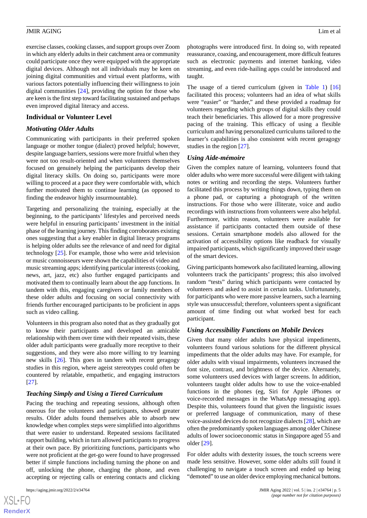exercise classes, cooking classes, and support groups over Zoom in which any elderly adults in their catchment area or community could participate once they were equipped with the appropriate digital devices. Although not all individuals may be keen on joining digital communities and virtual event platforms, with various factors potentially influencing their willingness to join digital communities [[24\]](#page-6-11), providing the option for those who are keen is the first step toward facilitating sustained and perhaps even improved digital literacy and access.

#### **Individual or Volunteer Level**

### *Motivating Older Adults*

Communicating with participants in their preferred spoken language or mother tongue (dialect) proved helpful; however, despite language barriers, sessions were more fruitful when they were not too result-oriented and when volunteers themselves focused on genuinely helping the participants develop their digital literacy skills. On doing so, participants were more willing to proceed at a pace they were comfortable with, which further motivated them to continue learning (as opposed to finding the endeavor highly insurmountable).

Targeting and personalizing the training, especially at the beginning, to the participants' lifestyles and perceived needs were helpful in ensuring participants' investment in the initial phase of the learning journey. This finding corroborates existing ones suggesting that a key enabler in digital literacy programs is helping older adults see the relevance of and need for digital technology [\[25](#page-6-12)]. For example, those who were avid television or music connoisseurs were shown the capabilities of video and music streaming apps; identifying particular interests (cooking, news, art, jazz, etc) also further engaged participants and motivated them to continually learn about the app functions. In tandem with this, engaging caregivers or family members of these older adults and focusing on social connectivity with friends further encouraged participants to be proficient in apps such as video calling.

Volunteers in this program also noted that as they gradually got to know their participants and developed an amicable relationship with them over time with their repeated visits, these older adult participants were gradually more receptive to their suggestions, and they were also more willing to try learning new skills [\[26](#page-6-13)]. This goes in tandem with recent geragogy studies in this region, where ageist stereotypes could often be countered by relatable, empathetic, and engaging instructors [[27\]](#page-6-14).

# *Teaching Simply and Using a Tiered Curriculum*

Pacing the teaching and repeating sessions, although often onerous for the volunteers and participants, showed greater results. Older adults found themselves able to absorb new knowledge when complex steps were simplified into algorithms that were easier to understand. Repeated sessions facilitated rapport building, which in turn allowed participants to progress at their own pace. By prioritizing functions, participants who were not proficient at the get-go were found to have progressed better if simple functions including turning the phone on and off, unlocking the phone, charging the phone, and even accepting or rejecting calls or entering contacts and clicking

photographs were introduced first. In doing so, with repeated reassurance, coaxing, and encouragement, more difficult features such as electronic payments and internet banking, video streaming, and even ride-hailing apps could be introduced and taught.

The usage of a tiered curriculum (given in [Table 1\)](#page-1-0) [\[16](#page-6-3)] facilitated this process; volunteers had an idea of what skills were "easier" or "harder," and these provided a roadmap for volunteers regarding which groups of digital skills they could teach their beneficiaries. This allowed for a more progressive pacing of the training. This efficacy of using a flexible curriculum and having personalized curriculums tailored to the learner's capabilities is also consistent with recent geragogy studies in the region [\[27](#page-6-14)].

#### *Using Aide-mémoire*

Given the complex nature of learning, volunteers found that older adults who were more successful were diligent with taking notes or writing and recording the steps. Volunteers further facilitated this process by writing things down, typing them on a phone pad, or capturing a photograph of the written instructions. For those who were illiterate, voice and audio recordings with instructions from volunteers were also helpful. Furthermore, within reason, volunteers were available for assistance if participants contacted them outside of these sessions. Certain smartphone models also allowed for the activation of accessibility options like readback for visually impaired participants, which significantly improved their usage of the smart devices.

Giving participants homework also facilitated learning, allowing volunteers track the participants' progress; this also involved random "tests" during which participants were contacted by volunteers and asked to assist in certain tasks. Unfortunately, for participants who were more passive learners, such a learning style was unsuccessful; therefore, volunteers spent a significant amount of time finding out what worked best for each participant.

#### *Using Accessibility Functions on Mobile Devices*

Given that many older adults have physical impediments, volunteers found various solutions for the different physical impediments that the older adults may have. For example, for older adults with visual impairments, volunteers increased the font size, contrast, and brightness of the device. Alternately, some volunteers used devices with larger screens. In addition, volunteers taught older adults how to use the voice-enabled functions in the phones (eg, Siri for Apple iPhones or voice-recorded messages in the WhatsApp messaging app). Despite this, volunteers found that given the linguistic issues or preferred language of communication, many of these voice-assisted devices do not recognize dialects [\[28](#page-6-15)], which are often the predominantly spoken languages among older Chinese adults of lower socioeconomic status in Singapore aged 55 and older [\[29](#page-6-16)].

For older adults with dexterity issues, the touch screens were made less sensitive. However, some older adults still found it challenging to navigate a touch screen and ended up being "demoted" to use an older device employing mechanical buttons.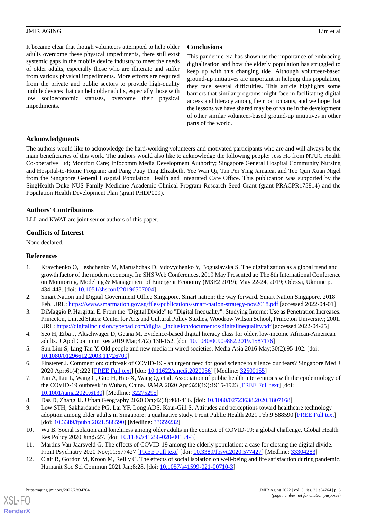It became clear that though volunteers attempted to help older adults overcome these physical impediments, there still exist systemic gaps in the mobile device industry to meet the needs of older adults, especially those who are illiterate and suffer from various physical impediments. More efforts are required from the private and public sectors to provide high-quality mobile devices that can help older adults, especially those with low socioeconomic statuses, overcome their physical impediments.

# **Conclusions**

This pandemic era has shown us the importance of embracing digitalization and how the elderly population has struggled to keep up with this changing tide. Although volunteer-based ground-up initiatives are important in helping this population, they face several difficulties. This article highlights some barriers that similar programs might face in facilitating digital access and literacy among their participants, and we hope that the lessons we have shared may be of value in the development of other similar volunteer-based ground-up initiatives in other parts of the world.

### **Acknowledgments**

The authors would like to acknowledge the hard-working volunteers and motivated participants who are and will always be the main beneficiaries of this work. The authors would also like to acknowledge the following people: Jess Ho from NTUC Health Co-operative Ltd; Montfort Care; Infocomm Media Development Authority; Singapore General Hospital Community Nursing and Hospital-to-Home Program; and Pang Puay Ting Elizabeth, Yee Wan Qi, Tan Pei Ying Jamaica, and Teo Qun Xuan Nigel from the Singapore General Hospital Population Health and Integrated Care Office. This publication was supported by the SingHealth Duke-NUS Family Medicine Academic Clinical Program Research Seed Grant (grant PRACPR175814) and the Population Health Development Plan (grant PHDP009).

# **Authors' Contributions**

LLL and KWAT are joint senior authors of this paper.

### **Conflicts of Interest**

<span id="page-5-0"></span>None declared.

#### **References**

- <span id="page-5-2"></span><span id="page-5-1"></span>1. Kravchenko O, Leshchenko M, Marushchak D, Vdovychenko Y, Boguslavska S. The digitalization as a global trend and growth factor of the modern economy. In: SHS Web Conferences. 2019 May Presented at: The 8th International Conference on Monitoring, Modeling & Management of Emergent Economy (M3E2 2019); May 22-24, 2019; Odessa, Ukraine p. 434-443. [doi: [10.1051/shsconf/20196507004\]](http://dx.doi.org/10.1051/shsconf/20196507004)
- <span id="page-5-3"></span>2. Smart Nation and Digital Government Office Singapore. Smart nation: the way forward. Smart Nation Singapore. 2018 Feb. URL:<https://www.smartnation.gov.sg/files/publications/smart-nation-strategy-nov2018.pdf> [accessed 2022-04-01]
- <span id="page-5-4"></span>3. DiMaggio P, Hargittai E. From the "Digital Divide" to "Digital Inequality": Studying Internet Use as Penetration Increases. Princeton, United States: Center for Arts and Cultural Policy Studies, Woodrow Wilson School, Princeton University; 2001. URL: [https://digitalinclusion.typepad.com/digital\\_inclusion/documentos/digitalinequality.pdf](https://digitalinclusion.typepad.com/digital_inclusion/documentos/digitalinequality.pdf) [accessed 2022-04-25]
- <span id="page-5-6"></span><span id="page-5-5"></span>4. Seo H, Erba J, Altschwager D, Geana M. Evidence-based digital literacy class for older, low-income African-American adults. J Appl Commun Res 2019 Mar;47(2):130-152. [doi: [10.1080/00909882.2019.1587176\]](http://dx.doi.org/10.1080/00909882.2019.1587176)
- 5. Sun Lim S, Ling Tan Y. Old people and new media in wired societies. Media Asia 2016 May;30(2):95-102. [doi: [10.1080/01296612.2003.11726709\]](http://dx.doi.org/10.1080/01296612.2003.11726709)
- <span id="page-5-8"></span><span id="page-5-7"></span>6. Finsterer J. Comment on: outbreak of COVID-19 - an urgent need for good science to silence our fears? Singapore Med J 2020 Apr;61(4):222 [[FREE Full text](https://doi.org/10.11622/smedj.2020056)] [doi: [10.11622/smedj.2020056\]](http://dx.doi.org/10.11622/smedj.2020056) [Medline: [32500155\]](http://www.ncbi.nlm.nih.gov/entrez/query.fcgi?cmd=Retrieve&db=PubMed&list_uids=32500155&dopt=Abstract)
- <span id="page-5-9"></span>7. Pan A, Liu L, Wang C, Guo H, Hao X, Wang Q, et al. Association of public health interventions with the epidemiology of the COVID-19 outbreak in Wuhan, China. JAMA 2020 Apr;323(19):1915-1923 [[FREE Full text](http://europepmc.org/abstract/MED/32275295)] [doi: [10.1001/jama.2020.6130](http://dx.doi.org/10.1001/jama.2020.6130)] [Medline: [32275295](http://www.ncbi.nlm.nih.gov/entrez/query.fcgi?cmd=Retrieve&db=PubMed&list_uids=32275295&dopt=Abstract)]
- <span id="page-5-10"></span>8. Das D, Zhang JJ. Urban Geography 2020 Oct;42(3):408-416. [doi: [10.1080/02723638.2020.1807168](http://dx.doi.org/10.1080/02723638.2020.1807168)]
- <span id="page-5-11"></span>9. Low STH, Sakhardande PG, Lai YF, Long ADS, Kaur-Gill S. Attitudes and perceptions toward healthcare technology adoption among older adults in Singapore: a qualitative study. Front Public Health 2021 Feb;9:588590 [[FREE Full text](https://doi.org/10.3389/fpubh.2021.588590)] [doi: [10.3389/fpubh.2021.588590\]](http://dx.doi.org/10.3389/fpubh.2021.588590) [Medline: [33659232](http://www.ncbi.nlm.nih.gov/entrez/query.fcgi?cmd=Retrieve&db=PubMed&list_uids=33659232&dopt=Abstract)]
- 10. Wu B. Social isolation and loneliness among older adults in the context of COVID-19: a global challenge. Global Health Res Policy 2020 Jun;5:27. [doi: [10.1186/s41256-020-00154-3](http://dx.doi.org/10.1186/s41256-020-00154-3)]
- 11. Martins Van Jaarsveld G. The effects of COVID-19 among the elderly population: a case for closing the digital divide. Front Psychiatry 2020 Nov;11:577427 [\[FREE Full text\]](https://doi.org/10.3389/fpsyt.2020.577427) [doi: [10.3389/fpsyt.2020.577427](http://dx.doi.org/10.3389/fpsyt.2020.577427)] [Medline: [33304283](http://www.ncbi.nlm.nih.gov/entrez/query.fcgi?cmd=Retrieve&db=PubMed&list_uids=33304283&dopt=Abstract)]
- 12. Clair R, Gordon M, Kroon M, Reilly C. The effects of social isolation on well-being and life satisfaction during pandemic. Humanit Soc Sci Commun 2021 Jan;8:28. [doi: [10.1057/s41599-021-00710-3](http://dx.doi.org/10.1057/s41599-021-00710-3)]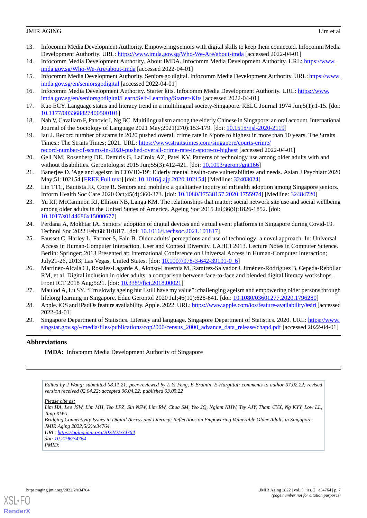- <span id="page-6-0"></span>13. Infocomm Media Development Authority. Empowering seniors with digital skills to keep them connected. Infocomm Media Development Authority. URL:<https://www.imda.gov.sg/Who-We-Are/about-imda> [accessed 2022-04-01]
- <span id="page-6-1"></span>14. Infocomm Media Development Authority. About IMDA. Infocomm Media Development Authority. URL: [https://www.](https://www.imda.gov.sg/Who-We-Are/about-imda) [imda.gov.sg/Who-We-Are/about-imda](https://www.imda.gov.sg/Who-We-Are/about-imda) [accessed 2022-04-01]
- <span id="page-6-3"></span><span id="page-6-2"></span>15. Infocomm Media Development Authority. Seniors go digital. Infocomm Media Development Authority. URL: [https://www.](https://www.imda.gov.sg/en/seniorsgodigital) [imda.gov.sg/en/seniorsgodigital](https://www.imda.gov.sg/en/seniorsgodigital) [accessed 2022-04-01]
- <span id="page-6-4"></span>16. Infocomm Media Development Authority. Starter kits. Infocomm Media Development Authority. URL: [https://www.](https://www.imda.gov.sg/en/seniorsgodigital/Learn/Self-Learning/Starter-Kits) [imda.gov.sg/en/seniorsgodigital/Learn/Self-Learning/Starter-Kits](https://www.imda.gov.sg/en/seniorsgodigital/Learn/Self-Learning/Starter-Kits) [accessed 2022-04-01]
- <span id="page-6-5"></span>17. Kuo ECY. Language status and literacy trend in a multilingual society-Singapore. RELC Journal 1974 Jun;5(1):1-15. [doi: [10.1177/003368827400500101\]](http://dx.doi.org/10.1177/003368827400500101)
- <span id="page-6-6"></span>18. Nah V, Cavallaro F, Panovic I, Ng BC. Multilingualism among the elderly Chinese in Singapore: an oral account. International Journal of the Sociology of Language 2021 May;2021(270):153-179. [doi: [10.1515/ijsl-2020-2119\]](http://dx.doi.org/10.1515/ijsl-2020-2119)
- <span id="page-6-7"></span>19. Iau J. Record number of scams in 2020 pushed overall crime rate in S'pore to highest in more than 10 years. The Straits Times.: The Straits Times; 2021. URL: [https://www.straitstimes.com/singapore/courts-crime/](https://www.straitstimes.com/singapore/courts-crime/record-number-of-scams-in-2020-pushed-overall-crime-rate-in-spore-to-highest)
- <span id="page-6-8"></span>[record-number-of-scams-in-2020-pushed-overall-crime-rate-in-spore-to-highest](https://www.straitstimes.com/singapore/courts-crime/record-number-of-scams-in-2020-pushed-overall-crime-rate-in-spore-to-highest) [accessed 2022-04-01] 20. Gell NM, Rosenberg DE, Demiris G, LaCroix AZ, Patel KV. Patterns of technology use among older adults with and without disabilities. Gerontologist 2015 Jun;55(3):412-421. [doi: [10.1093/geront/gnt166](http://dx.doi.org/10.1093/geront/gnt166)]
- <span id="page-6-9"></span>21. Banerjee D. 'Age and ageism in COVID-19': Elderly mental health-care vulnerabilities and needs. Asian J Psychiatr 2020 May;51:102154 [\[FREE Full text\]](http://europepmc.org/abstract/MED/32403024) [doi: [10.1016/j.ajp.2020.102154\]](http://dx.doi.org/10.1016/j.ajp.2020.102154) [Medline: [32403024](http://www.ncbi.nlm.nih.gov/entrez/query.fcgi?cmd=Retrieve&db=PubMed&list_uids=32403024&dopt=Abstract)]
- <span id="page-6-10"></span>22. Lin TTC, Bautista JR, Core R. Seniors and mobiles: a qualitative inquiry of mHealth adoption among Singapore seniors. Inform Health Soc Care 2020 Oct;45(4):360-373. [doi: [10.1080/17538157.2020.1755974\]](http://dx.doi.org/10.1080/17538157.2020.1755974) [Medline: [32484720\]](http://www.ncbi.nlm.nih.gov/entrez/query.fcgi?cmd=Retrieve&db=PubMed&list_uids=32484720&dopt=Abstract)
- <span id="page-6-11"></span>23. Yu RP, McCammon RJ, Ellison NB, Langa KM. The relationships that matter: social network site use and social wellbeing among older adults in the United States of America. Ageing Soc 2015 Jul;36(9):1826-1852. [doi: [10.1017/s0144686x15000677\]](http://dx.doi.org/10.1017/s0144686x15000677)
- <span id="page-6-12"></span>24. Perdana A, Mokhtar IA. Seniors' adoption of digital devices and virtual event platforms in Singapore during Covid-19. Technol Soc 2022 Feb;68:101817. [doi: [10.1016/j.techsoc.2021.101817\]](http://dx.doi.org/10.1016/j.techsoc.2021.101817)
- <span id="page-6-13"></span>25. Fausset C, Harley L, Farmer S, Fain B. Older adults' perceptions and use of technology: a novel approach. In: Universal Access in Human-Computer Interaction. User and Context Diversity. UAHCI 2013. Lecture Notes in Computer Science. Berlin: Springer; 2013 Presented at: International Conference on Universal Access in Human-Computer Interaction; July21-26, 2013; Las Vegas, United States. [doi: [10.1007/978-3-642-39191-0\\_6](http://dx.doi.org/10.1007/978-3-642-39191-0_6)]
- <span id="page-6-15"></span><span id="page-6-14"></span>26. Martínez-Alcalá CI, Rosales-Lagarde A, Alonso-Lavernia M, Ramírez-Salvador J, Jiménez-Rodríguez B, Cepeda-Rebollar RM, et al. Digital inclusion in older adults: a comparison between face-to-face and blended digital literacy workshops. Front ICT 2018 Aug;5:21. [doi: [10.3389/fict.2018.00021](http://dx.doi.org/10.3389/fict.2018.00021)]
- <span id="page-6-16"></span>27. Maulod A, Lu SY. "I'm slowly ageing but I still have my value": challenging ageism and empowering older persons through lifelong learning in Singapore. Educ Gerontol 2020 Jul;46(10):628-641. [doi: [10.1080/03601277.2020.1796280\]](http://dx.doi.org/10.1080/03601277.2020.1796280)
- 28. Apple. iOS and iPadOs feature availability. Apple. 2022. URL:<https://www.apple.com/ios/feature-availability/#siri> [accessed 2022-04-01]
- 29. Singapore Department of Statistics. Literacy and language. Singapore Department of Statistics. 2020. URL: [https://www.](https://www.singstat.gov.sg/-/media/files/publications/cop2000/census_2000_advance_data_release/chap4.pdf) [singstat.gov.sg/-/media/files/publications/cop2000/census\\_2000\\_advance\\_data\\_release/chap4.pdf](https://www.singstat.gov.sg/-/media/files/publications/cop2000/census_2000_advance_data_release/chap4.pdf) [accessed 2022-04-01]

# **Abbreviations**

**IMDA:** Infocomm Media Development Authority of Singapore

*Edited by J Wang; submitted 08.11.21; peer-reviewed by L Yi Feng, E Brainin, E Hargittai; comments to author 07.02.22; revised version received 02.04.22; accepted 06.04.22; published 03.05.22*

*Please cite as:*

*Lim HA, Lee JSW, Lim MH, Teo LPZ, Sin NSW, Lim RW, Chua SM, Yeo JQ, Ngiam NHW, Tey AJY, Tham CYX, Ng KYY, Low LL, Tang KWA*

*Bridging Connectivity Issues in Digital Access and Literacy: Reflections on Empowering Vulnerable Older Adults in Singapore JMIR Aging 2022;5(2):e34764*

*URL: <https://aging.jmir.org/2022/2/e34764> doi: [10.2196/34764](http://dx.doi.org/10.2196/34764) PMID:*